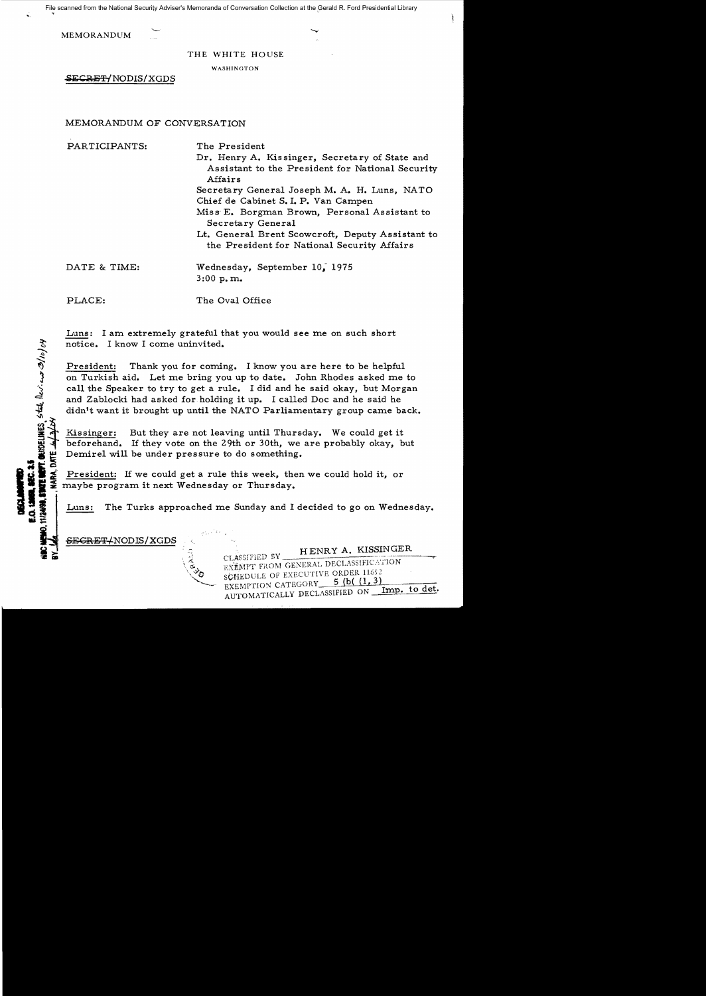File scanned from the National Security Adviser's Memoranda of Conversation Collection at the Gerald R. Ford Presidential Library

MEMORANDUM

THE WHITE HOUSE

WASHINGTON

SECRET/NODIS/XGDS

## MEMORANDUM OF CONVERSATION

PARTICIPANTS: The President Dr. Henry A. Kissinger, Secretary of State and Assistant to the President for National Security Affairs Secretary General Joseph M. A. H. Luns, NATO Chief de Cabinet S. I. P. Van Campen Miss' E. Borgman Brown, Personal Assistant to Secretary General Lt. General Brent Scowcroft, Deputy Assistant to the President for National Security Mfairs DATE & TIME: Wednesday, September 10, 1975 3:00 p. m. PLACE: The Oval Office

Luns: I am extremely grateful that you would see me on such short notice. I know I come uninvited.

President: Thank you for coming. I know you are here to be helpful on Turkish aid. Let me bring you up to date. John Rhodes asked me to call the Speaker to try to get a rule. I did and he said okay, but Morgan and Zablocki had asked for holding it up. I called Doc and he said he didn't want it brought up until the NATO Parliamentary group came back.

Kissinger: But they are not leaving until Thursday. We could get it beforehand. If they vote on the 29th or 30th, we are probably okay, but Demirel will be under pressure to do something.

President: If we could get a rule this week, then we could hold it, or maybe program it next Wednesday or Thursday.<br>Luns: The Turks approached me Sunday and I decided to go on Wednesday.

<del>SECRET/</del>NODIS/XGDS

**ETT.** OUNDELINES, stal that and  $\frac{\partial f}{\partial y}$ 

 $\mathbf{r}$  is

HENRY A. KISSINGER CLASSIFIED BY EXEMPT FROM GENERAL DECLASSIFICATION SCHEDULE OF EXECUTIVE ORDER 11652<br>EXEMPTION CATEGORY 5 (b( (1, 3) AUTOMATICALLY DECLASSIFIED ON Imp. to det.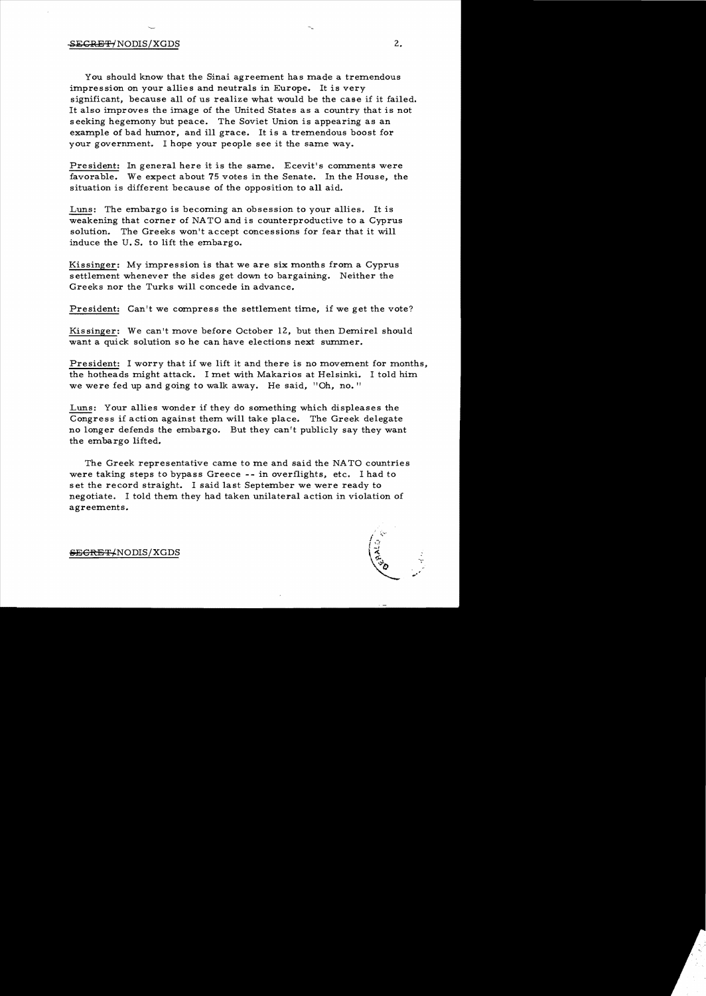## SECRET/NODIS/XGDS 2.

You should know that the Sinai agreement has made a tremendous impression on your allies and neutrals in Europe. It is very significant, because all of us realize what would be the case if it failed. It also improves the image of the United States as a country that is not seeking hegemony but peace. The Soviet Union is appearing as an example of bad humor, and ill grace. It is a tremendous boost for your government. 1 hope your people see it the same way.

President: In general here it is the same. Ecevit's comments were favorable. We expect about 75 votes in the Senate. In the House, the situation is different because of the opposition to all aid.

Luns: The embargo is becoming an obsession to your allies. It is weakening that corner of NATO and is counterproductive to a Cyprus solution. The Greeks won't accept concessions for fear that it will induce the U. S. to lift the embargo.

Kissinger: My impression is that we are six months from a Cyprus settlement whenever the sides get down to bargaining. Neither the Greeks nor the Turks will concede in advance.

President: Can't we compress the settlement time, if we get the vote?

Kissinger: We can't move before October 12, but then Demirel should want a quick solution so he can have elections next summer.

President: 1 worry that if we lift it and there is no movement for months, the hotheads might attack. 1 met with Makarios at Helsinki. 1 told him we were fed up and going to walk away. He said, "Oh, no."

Luns: Your allies wonder if they do something which displeases the Congress if action against them will take place. The Greek delegate no longer defends the embargo. But they can't publicly say they want the embargo lifted.

The Greek representative came to me and said the NA TO countries were taking steps to bypass Greece -- in overflights, etc. 1 had to set the record straight. 1 said last September we were ready to negotiate. 1 told them they had taken unilateral action in violation of agreements.



SECRET/NODIS/XGDS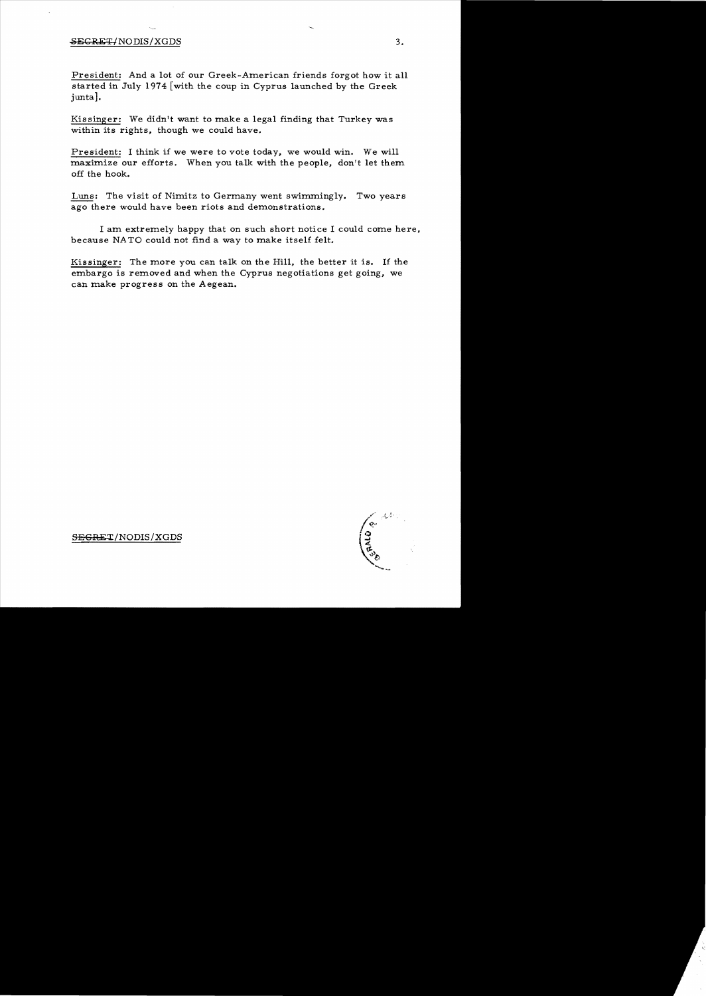## $SESREF/NODIS/XGDS$  3.

President: And a lot of our Greek-American friends forgot how it all started in July 1974 [with the coup in Cyprus launched by the Greek junta].

Kissinger: We didn't want to make a legal finding that Turkey was within its rights, though we could have.

President: I think if we were to vote today, we would win. We will maximize our efforts. When you talk with the people, don't let them off the hook.

Luns: The visit of Nimitz to Germany went swimmingly. Two years ago there would have been riots and demonstrations.

I am extremely happy that on such short notice I could come here, because NATO could not find a way to make itself felt.

Kissinger: The more you can talk on the Hill, the better it is. If the embargo is removed and when the Cyprus negotiations get going, we can make progress on the Aegean.

∕ू<br>दूध∡टू

SEGRET/NODIS/XGDS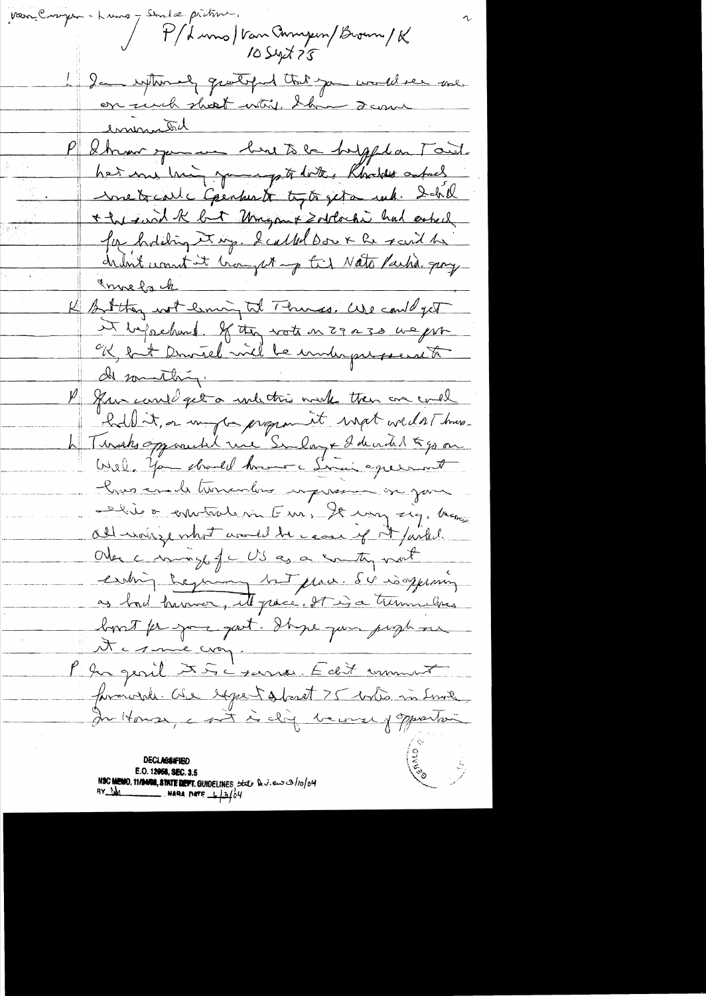verne Compra - Luna 7 Sendel préture. P/ Luns Van Ampin/Brown/K 1 2 cm replement grouped that you would see me. on who short why the scane eminister emmersha<br>Stren per un bird to be beyond on Taid hat me him, young to date, Rhoddes asked metraile Gerhardt tyto geta suk. Detall \* he said K but Umgant Zotloche had ested Joe holding et up. I called Dow & he raid he chunk want it brought up the Nato Partie groy Innelack K Bitty not liming tol Thines. We could get it beforehoud. If they wate on 29 a 30 we for ok let Duitel vil le immergere to de sommething. P gun carril get a unlichter with then are could hold it, or ungle program it wight we dat hus. h Tursks opported une Sulay + I devided to go on Well, You should have a Simin excent hus ende turnados impressor in june Did o convitate me Fun, le mag zig, home Oll wais port would be come of it farked. Other commonly of c US as a southy most earling beginning to place. Sur isoppearing as bad havior, it pace. It is a turnulers look for your part. It ge jun people on Acsonie croy. l'în gevil XII i sans Edit immert formunde. One expectational 75 who in find In House, a sit is ding become of opportuni **DECLASSIFIED** ES CONTROLL E.O. 12958, SEC. 3.5 NSC MEMO, 11/1400, STATE DEFT. GUIDELINES, that Deview 3/10/04<br>BY DA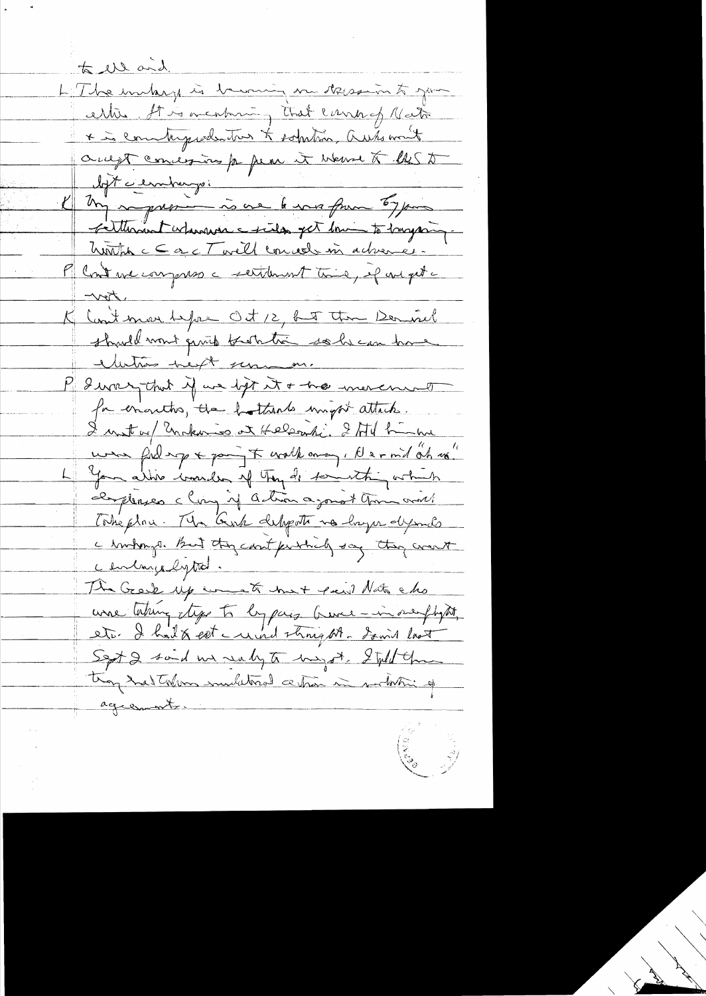to the and L'Ibe unhag is becoming me dessaion to good ertie, It is a cabine, that cannot retire \* in communication to sobution, automat augt concession pa pear it went to les to loft cernburgo. I my representations to your toggers Felthrant islanders center get him to buyant huntin c C a c T well conced in activere M Cont we compress a settlement time, if one get ter K Contenant depou Oct 12, but the Demoisel should want quick bastatic solve can have electrons helt serman. P I was that if we ligt it + has more mod for enanths, the bothands unight attach. I mat au Unkario et Helsonti. Ital hinne were folling & pain to walk away, A er mil oh us" You alive would of try dis for this which elemplerses claim if action agonst your world Tokeplace. Mr Gost delipote no layer dysonds a bindings. But they count purched say they want centargelyted. The Greek up want met peut Nato cho une taking type to by pay burner-in surflyth, etc. I had & cet a unid strong At. Somit last Sept 2 said we seely to myst. I tild the they had taken undulored a then in sodation of agreements.